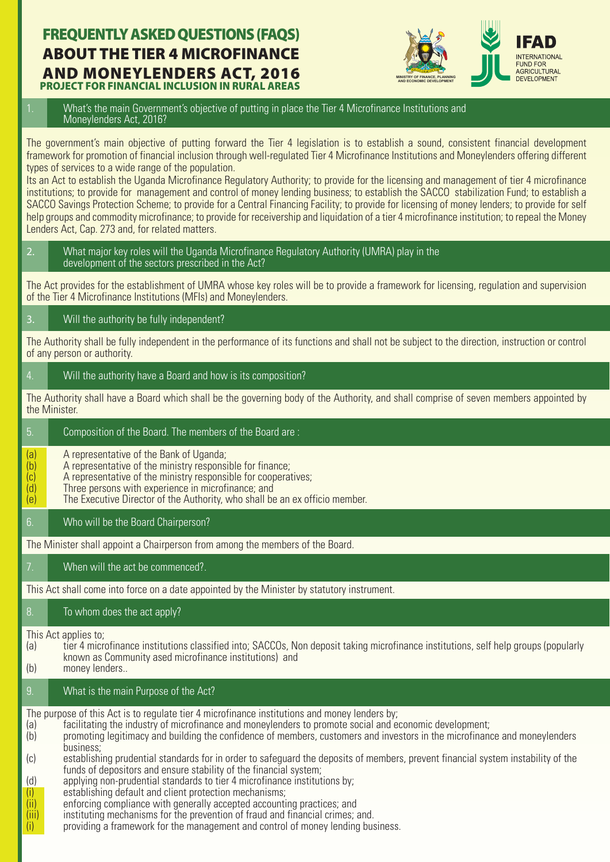# FREQUENTLY ASKED QUESTIONS (FAQS) ABOUT THE TIER 4 MICROFINANCE **AND MONEYLENDERS ACT, 2016**



**PROJECT FOR FINANCIAL INCLUSION IN RURAL AREAS** 

1. What's the main Government's objective of putting in place the Tier 4 Microfinance Institutions and Moneylenders Act, 2016?

The government's main objective of putting forward the Tier 4 legislation is to establish a sound, consistent financial development framework for promotion of financial inclusion through well-regulated Tier 4 Microfinance Institutions and Moneylenders offering different types of services to a wide range of the population.

Its an Act to establish the Uganda Microfinance Regulatory Authority; to provide for the licensing and management of tier 4 microfinance institutions; to provide for management and control of money lending business; to establish the SACCO stabilization Fund; to establish a SACCO Savings Protection Scheme; to provide for a Central Financing Facility; to provide for licensing of money lenders; to provide for self help groups and commodity microfinance; to provide for receivership and liquidation of a tier 4 microfinance institution; to repeal the Money Lenders Act, Cap. 273 and, for related matters.

2. What major key roles will the Uganda Microfinance Regulatory Authority (UMRA) play in the development of the sectors prescribed in the Act?

The Act provides for the establishment of UMRA whose key roles will be to provide a framework for licensing, regulation and supervision of the Tier 4 Microfinance Institutions (MFIs) and Moneylenders.

3. Will the authority be fully independent?

The Authority shall be fully independent in the performance of its functions and shall not be subject to the direction, instruction or control of any person or authority.

4. Will the authority have a Board and how is its composition?

5. Composition of the Board. The members of the Board are :

The Authority shall have a Board which shall be the governing body of the Authority, and shall comprise of seven members appointed by the Minister.

- (a) A representative of the Bank of Uganda;<br>(b) A representative of the ministry respons (b)  $\overline{a}$  A representative of the ministry responsible for finance;<br>(c)  $\overline{a}$  A representative of the ministry responsible for coopera  $(c)$  A representative of the ministry responsible for cooperatives;<br>(d) Three persons with experience in microfinance: and (d) Three persons with experience in microfinance; and (e) The Executive Director of the Authority, who shall be The Executive Director of the Authority, who shall be an ex officio member. 6. Who will be the Board Chairperson? The Minister shall appoint a Chairperson from among the members of the Board. When will the act be commenced?. This Act shall come into force on a date appointed by the Minister by statutory instrument. 8. To whom does the act apply? This Act applies to: (a) tier 4 microfinance institutions classified into; SACCOs, Non deposit taking microfinance institutions, self help groups (popularly known as Community ased microfinance institutions) and<br>(b) money lenders.. money lenders... 9. What is the main Purpose of the Act? The purpose of this Act is to regulate tier 4 microfinance institutions and money lenders by; (a) facilitating the industry of microfinance and moneylenders to promote social and economic development;<br>(b) for promoting legitimacy and building the confidence of members, customers and investors in the microfinan
	- promoting legitimacy and building the confidence of members, customers and investors in the microfinance and moneylenders **business;**<br>(c) establishi
	- establishing prudential standards for in order to safeguard the deposits of members, prevent financial system instability of the funds of depositors and ensure stability of the financial system;
	- (d) applying non-prudential standards to tier 4 microfinance institutions by;
	- (i) establishing default and client protection mechanisms;<br>(ii) enforcing compliance with generally accepted accounti
	- enforcing compliance with generally accepted accounting practices; and
	- $(iii)$  instituting mechanisms for the prevention of fraud and financial crimes; and.
	- $(i)$  providing a framework for the management and control of money lending business.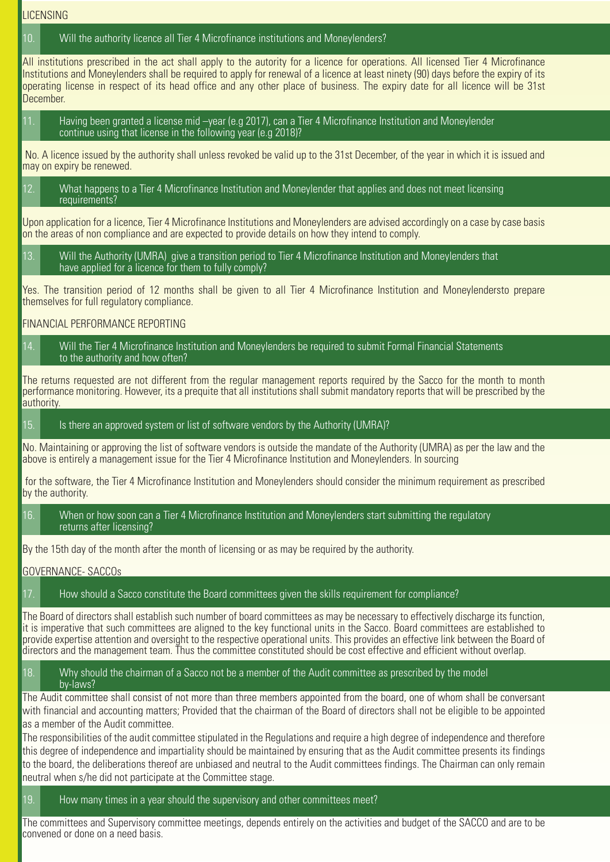**LICENSING** 

#### 10. Will the authority licence all Tier 4 Microfinance institutions and Moneylenders?

All institutions prescribed in the act shall apply to the autority for a licence for operations. All licensed Tier 4 Microfinance Institutions and Moneylenders shall be required to apply for renewal of a licence at least ninety (90) days before the expiry of its operating license in respect of its head office and any other place of business. The expiry date for all licence will be 31st December.

11. Having been granted a license mid –year (e.g 2017), can a Tier 4 Microfinance Institution and Moneylender continue using that license in the following year (e.g 2018)?

 No. A licence issued by the authority shall unless revoked be valid up to the 31st December, of the year in which it is issued and may on expiry be renewed.

12. What happens to a Tier 4 Microfinance Institution and Moneylender that applies and does not meet licensing requirements?

Upon application for a licence, Tier 4 Microfinance Institutions and Moneylenders are advised accordingly on a case by case basis on the areas of non compliance and are expected to provide details on how they intend to comply.

13. Will the Authority (UMRA) give a transition period to Tier 4 Microfinance Institution and Moneylenders that have applied for a licence for them to fully comply?

Yes. The transition period of 12 months shall be given to all Tier 4 Microfinance Institution and Moneylendersto prepare themselves for full regulatory compliance.

#### FINANCIAL PERFORMANCE REPORTING

14. Will the Tier 4 Microfinance Institution and Moneylenders be required to submit Formal Financial Statements to the authority and how often?

The returns requested are not different from the regular management reports required by the Sacco for the month to month performance monitoring. However, its a prequite that all institutions shall submit mandatory reports that will be prescribed by the authority.

15. Is there an approved system or list of software vendors by the Authority (UMRA)?

No. Maintaining or approving the list of software vendors is outside the mandate of the Authority (UMRA) as per the law and the above is entirely a management issue for the Tier 4 Microfinance Institution and Moneylenders. In sourcing

 for the software, the Tier 4 Microfinance Institution and Moneylenders should consider the minimum requirement as prescribed by the authority.

16. When or how soon can a Tier 4 Microfinance Institution and Moneylenders start submitting the regulatory returns after licensing?

By the 15th day of the month after the month of licensing or as may be required by the authority.

#### GOVERNANCE- SACCOs

17. How should a Sacco constitute the Board committees given the skills requirement for compliance?

The Board of directors shall establish such number of board committees as may be necessary to effectively discharge its function, it is imperative that such committees are aligned to the key functional units in the Sacco. Board committees are established to provide expertise attention and oversight to the respective operational units. This provides an effective link between the Board of directors and the management team. Thus the committee constituted should be cost effective and efficient without overlap.

18. Why should the chairman of a Sacco not be a member of the Audit committee as prescribed by the model by-laws?

The Audit committee shall consist of not more than three members appointed from the board, one of whom shall be conversant with financial and accounting matters; Provided that the chairman of the Board of directors shall not be eligible to be appointed as a member of the Audit committee.

The responsibilities of the audit committee stipulated in the Regulations and require a high degree of independence and therefore this degree of independence and impartiality should be maintained by ensuring that as the Audit committee presents its findings to the board, the deliberations thereof are unbiased and neutral to the Audit committees findings. The Chairman can only remain neutral when s/he did not participate at the Committee stage.

19. How many times in a year should the supervisory and other committees meet?

The committees and Supervisory committee meetings, depends entirely on the activities and budget of the SACCO and are to be convened or done on a need basis.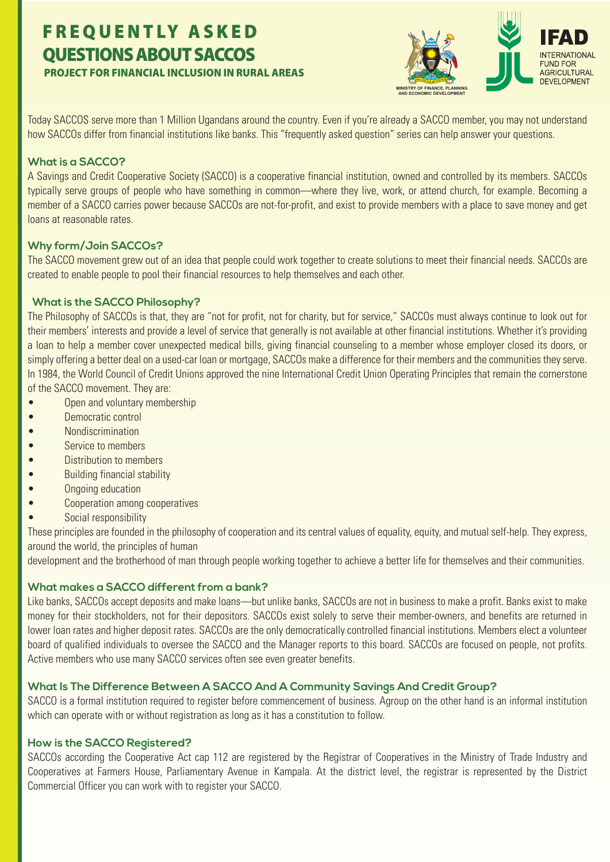# FREQUENTLY ASKED QUESTIONS ABOUT SACCOS PROJECT FOR FINANCIAL INCLUSION IN RURAL AREAS



Today SACCOS serve more than 1 Million Ugandans around the country. Even if you're already a SACCO member, you may not understand how SACCOs differ from financial institutions like banks. This "frequently asked question" series can help answer your questions.

#### **What is a SACCO?**

A Savings and Credit Cooperative Society (SACCO) is a cooperative financial institution, owned and controlled by its members. SACCOs typically serve groups of people who have something in common—where they live, work, or attend church, for example. Becoming a member of a SACCO carries power because SACCOs are not-for-profit, and exist to provide members with a place to save money and get loans at reasonable rates.

#### **Why form/Join SACCOs?**

The SACCO movement grew out of an idea that people could work together to create solutions to meet their financial needs. SACCOs are created to enable people to pool their financial resources to help themselves and each other.

#### **What is the SACCO Philosophy?**

The Philosophy of SACCOs is that, they are "not for profit, not for charity, but for service," SACCOs must always continue to look out for their members' interests and provide a level of service that generally is not available at other financial institutions. Whether it's providing a loan to help a member cover unexpected medical bills, giving financial counseling to a member whose employer closed its doors, or simply offering a better deal on a used-car loan or mortgage, SACCOs make a difference for their members and the communities they serve. In 1984, the World Council of Credit Unions approved the nine International Credit Union Operating Principles that remain the cornerstone of the SACCO movement. They are:

- Open and voluntary membership
- Democratic control
- Nondiscrimination
- Service to members
- Distribution to members
- Building financial stability
- Ongoing education
- Cooperation among cooperatives
- Social responsibility

These principles are founded in the philosophy of cooperation and its central values of equality, equity, and mutual self-help. They express, around the world, the principles of human

development and the brotherhood of man through people working together to achieve a better life for themselves and their communities.

# **What makes a SACCO different from a bank?**

Like banks, SACCOs accept deposits and make loans—but unlike banks, SACCOs are not in business to make a profit. Banks exist to make money for their stockholders, not for their depositors. SACCOs exist solely to serve their member-owners, and benefits are returned in lower loan rates and higher deposit rates. SACCOs are the only democratically controlled financial institutions. Members elect a volunteer board of qualified individuals to oversee the SACCO and the Manager reports to this board. SACCOs are focused on people, not profits. Active members who use many SACCO services often see even greater benefits.

# **What Is The Difference Between A SACCO And A Community Savings And Credit Group?**

SACCO is a formal institution required to register before commencement of business. Agroup on the other hand is an informal institution which can operate with or without registration as long as it has a constitution to follow.

#### **How is the SACCO Registered?**

SACCOs according the Cooperative Act cap 112 are registered by the Registrar of Cooperatives in the Ministry of Trade Industry and Cooperatives at Farmers House, Parliamentary Avenue in Kampala. At the district level, the registrar is represented by the District Commercial Officer you can work with to register your SACCO.